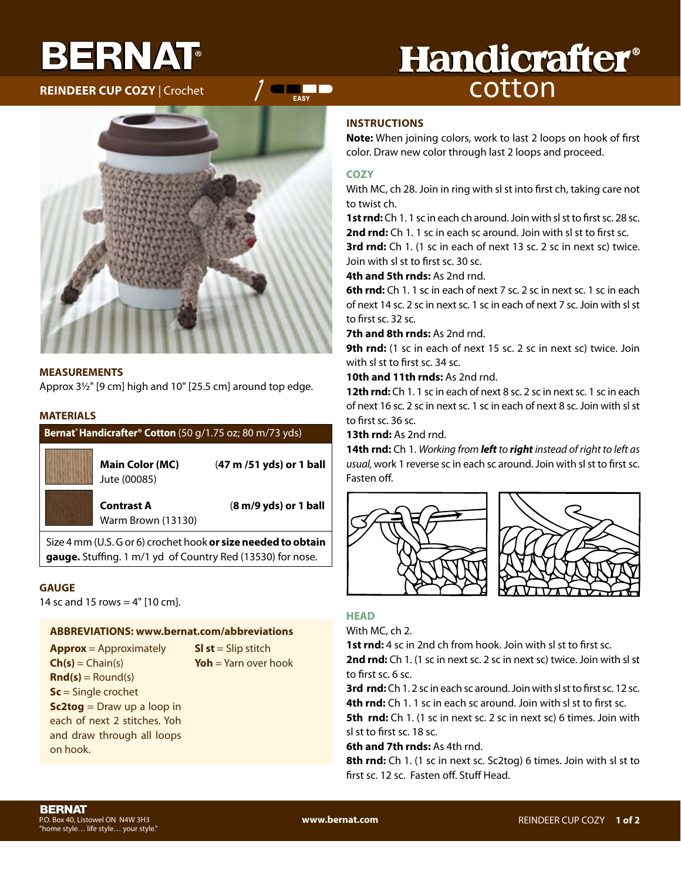# BERNAT

**REINDEER CUP CoZY** | Crochet

## **Handicrafter®** cotton

#### **MEASUREMENTS**

Approx 3½" [9 cm] high and 10" [25.5 cm] around top edge.

#### **MATERIALS**

#### **Bernat® Handicrafter® Cotton** (50 g/1.75 oz; 80 m/73 yds)

Jute (00085)

**Main Color (MC)** (**47 m /51 yds) or 1 ball**

Warm Brown (13130)

**Contrast A** (**8 m/9 yds) or 1 ball**

Size 4 mm (U.S. G or 6) crochet hook **or size needed to obtain gauge.** Stuffing. 1 m/1 yd of Country Red (13530) for nose.

#### **GAUGE**

14 sc and 15 rows  $=$  4" [10 cm].

#### **ABBREVIATIoNS: www.bernat.com/abbreviations**

**Approx** = Approximately  $Ch(s) = Chain(s)$  $\text{Rnd}(s) =$  Round(s) **Sc** = Single crochet **Sc2tog** = Draw up a loop in each of next 2 stitches. Yoh and draw through all loops on hook.

**Sl st** = Slip stitch **Yoh** = Yarn over hook

### **INSTRUCTIoNS**

**Note:** When joining colors, work to last 2 loops on hook of first color. Draw new color through last 2 loops and proceed.

#### **CoZY**

**Example 1** 

With MC, ch 28. Join in ring with sl st into first ch, taking care not to twist ch.

**1st rnd:** Ch 1. 1 sc in each ch around. Join with sl st to first sc. 28 sc. **2nd rnd:** Ch 1. 1 sc in each sc around. Join with sl st to first sc.

**3rd rnd:** Ch 1. (1 sc in each of next 13 sc. 2 sc in next sc) twice. Join with sl st to first sc. 30 sc.

**4th and 5th rnds:** As 2nd rnd.

**6th rnd:** Ch 1. 1 sc in each of next 7 sc. 2 sc in next sc. 1 sc in each of next 14 sc. 2 sc in next sc. 1 sc in each of next 7 sc. Join with sl st to first sc. 32 sc.

**7th and 8th rnds:** As 2nd rnd.

9th rnd: (1 sc in each of next 15 sc. 2 sc in next sc) twice. Join with sl st to first sc. 34 sc.

**10th and 11th rnds:** As 2nd rnd.

**12th rnd:** Ch 1. 1 sc in each of next 8 sc. 2 sc in next sc. 1 sc in each of next 16 sc. 2 sc in next sc. 1 sc in each of next 8 sc. Join with sl st to first sc. 36 sc.

**13th rnd:** As 2nd rnd.

**14th rnd:** Ch 1. *Working from left to right instead of right to left as usual,* work 1 reverse sc in each sc around. Join with sl st to first sc. Fasten off.





#### **HEAD**

With MC, ch 2.

**1st rnd:** 4 sc in 2nd ch from hook. Join with sl st to first sc.

**2nd rnd:** Ch 1. (1 sc in next sc. 2 sc in next sc) twice. Join with sl st to first sc. 6 sc.

**3rd rnd:** Ch 1. 2 sc in each sc around. Join with sl st to first sc. 12 sc. **4th rnd:** Ch 1.1 sc in each sc around. Join with sl st to first sc.

**5th rnd:** Ch 1. (1 sc in next sc. 2 sc in next sc) 6 times. Join with sl st to first sc. 18 sc.

**6th and 7th rnds:** As 4th rnd.

**8th rnd:** Ch 1. (1 sc in next sc. Sc2tog) 6 times. Join with sl st to first sc. 12 sc. Fasten off. Stuff Head.

**www.bernat.com**